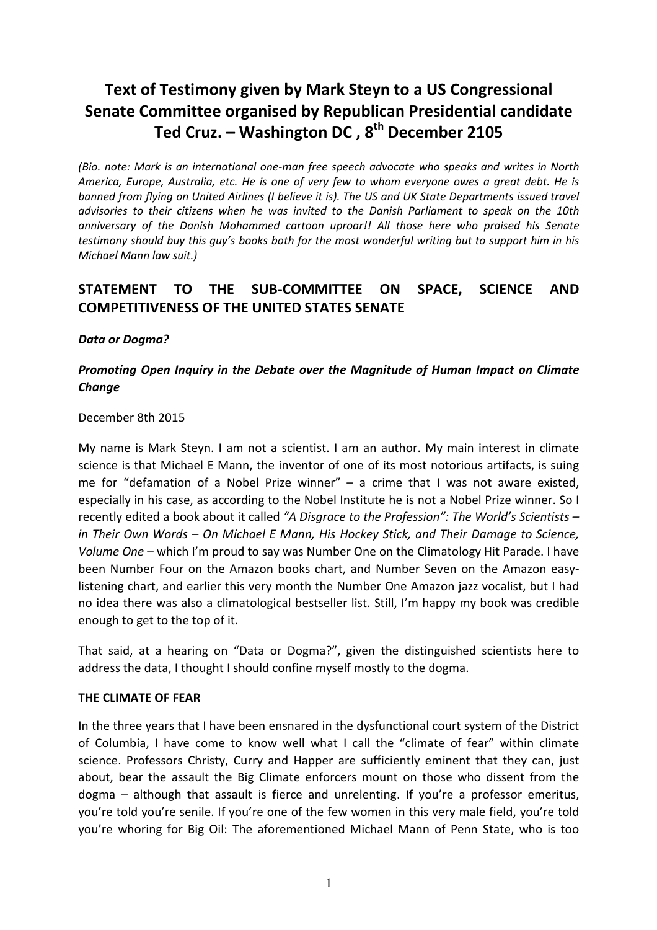# Text of Testimony given by Mark Steyn to a US Congressional Senate Committee organised by Republican Presidential candidate Ted Cruz. – Washington DC,  $8^{th}$  December 2105

(Bio. note: Mark is an international one-man free speech advocate who speaks and writes in North America, Europe, Australia, etc. He is one of very few to whom everyone owes a great debt. He is banned from flying on United Airlines (I believe it is). The US and UK State Departments issued travel advisories to their citizens when he was invited to the Danish Parliament to speak on the 10th anniversary of the Danish Mohammed cartoon uproar!! All those here who praised his Senate testimony should buy this guy's books both for the most wonderful writing but to support him in his Michael Mann law suit.)

## STATEMENT TO THE SUB-COMMITTEE ON SPACE, SCIENCE AND COMPETITIVENESS OF THE UNITED STATES SENATE

### Data or Dogma?

### Promoting Open Inquiry in the Debate over the Magnitude of Human Impact on Climate **Change**

#### December 8th 2015

My name is Mark Steyn. I am not a scientist. I am an author. My main interest in climate science is that Michael E Mann, the inventor of one of its most notorious artifacts, is suing me for "defamation of a Nobel Prize winner" – a crime that I was not aware existed, especially in his case, as according to the Nobel Institute he is not a Nobel Prize winner. So I recently edited a book about it called "A Disgrace to the Profession": The World's Scientists – in Their Own Words – On Michael E Mann, His Hockey Stick, and Their Damage to Science, Volume One – which I'm proud to say was Number One on the Climatology Hit Parade. I have been Number Four on the Amazon books chart, and Number Seven on the Amazon easylistening chart, and earlier this very month the Number One Amazon jazz vocalist, but I had no idea there was also a climatological bestseller list. Still, I'm happy my book was credible enough to get to the top of it.

That said, at a hearing on "Data or Dogma?", given the distinguished scientists here to address the data, I thought I should confine myself mostly to the dogma.

#### THE CLIMATE OF FEAR

In the three years that I have been ensnared in the dysfunctional court system of the District of Columbia, I have come to know well what I call the "climate of fear" within climate science. Professors Christy, Curry and Happer are sufficiently eminent that they can, just about, bear the assault the Big Climate enforcers mount on those who dissent from the dogma – although that assault is fierce and unrelenting. If you're a professor emeritus, you're told you're senile. If you're one of the few women in this very male field, you're told you're whoring for Big Oil: The aforementioned Michael Mann of Penn State, who is too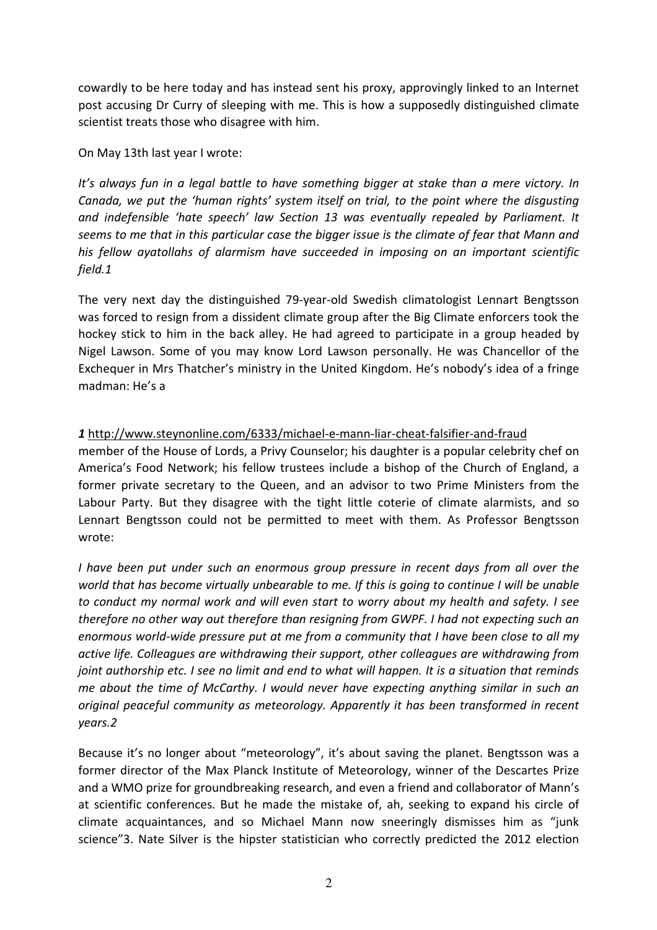cowardly to be here today and has instead sent his proxy, approvingly linked to an Internet post accusing Dr Curry of sleeping with me. This is how a supposedly distinguished climate scientist treats those who disagree with him.

On May 13th last year I wrote:

It's always fun in a legal battle to have something bigger at stake than a mere victory. In Canada, we put the 'human rights' system itself on trial, to the point where the disgusting and indefensible 'hate speech' law Section 13 was eventually repealed by Parliament. It seems to me that in this particular case the bigger issue is the climate of fear that Mann and his fellow ayatollahs of alarmism have succeeded in imposing on an important scientific field.1

The very next day the distinguished 79-year-old Swedish climatologist Lennart Bengtsson was forced to resign from a dissident climate group after the Big Climate enforcers took the hockey stick to him in the back alley. He had agreed to participate in a group headed by Nigel Lawson. Some of you may know Lord Lawson personally. He was Chancellor of the Exchequer in Mrs Thatcher's ministry in the United Kingdom. He's nobody's idea of a fringe madman: He's a

1 http://www.steynonline.com/6333/michael-e-mann-liar-cheat-falsifier-and-fraud member of the House of Lords, a Privy Counselor; his daughter is a popular celebrity chef on America's Food Network; his fellow trustees include a bishop of the Church of England, a former private secretary to the Queen, and an advisor to two Prime Ministers from the Labour Party. But they disagree with the tight little coterie of climate alarmists, and so Lennart Bengtsson could not be permitted to meet with them. As Professor Bengtsson wrote:

I have been put under such an enormous group pressure in recent days from all over the world that has become virtually unbearable to me. If this is going to continue I will be unable to conduct my normal work and will even start to worry about my health and safety. I see therefore no other way out therefore than resigning from GWPF. I had not expecting such an enormous world-wide pressure put at me from a community that I have been close to all my active life. Colleagues are withdrawing their support, other colleagues are withdrawing from joint authorship etc. I see no limit and end to what will happen. It is a situation that reminds me about the time of McCarthy. I would never have expecting anything similar in such an original peaceful community as meteorology. Apparently it has been transformed in recent years.2

Because it's no longer about "meteorology", it's about saving the planet. Bengtsson was a former director of the Max Planck Institute of Meteorology, winner of the Descartes Prize and a WMO prize for groundbreaking research, and even a friend and collaborator of Mann's at scientific conferences. But he made the mistake of, ah, seeking to expand his circle of climate acquaintances, and so Michael Mann now sneeringly dismisses him as "junk science"3. Nate Silver is the hipster statistician who correctly predicted the 2012 election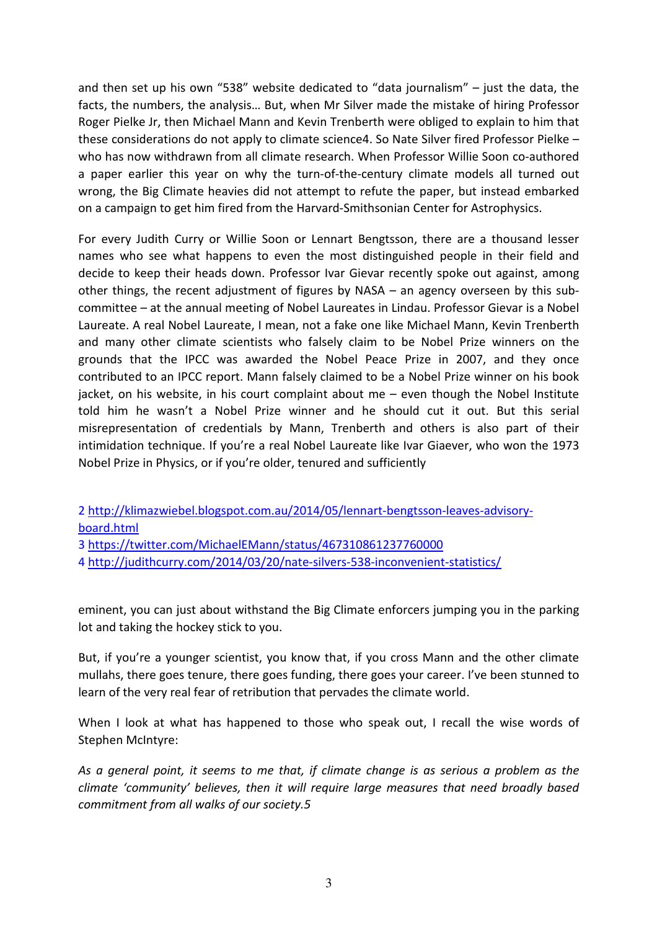and then set up his own "538" website dedicated to "data journalism" – just the data, the facts, the numbers, the analysis… But, when Mr Silver made the mistake of hiring Professor Roger Pielke Jr, then Michael Mann and Kevin Trenberth were obliged to explain to him that these considerations do not apply to climate science4. So Nate Silver fired Professor Pielke – who has now withdrawn from all climate research. When Professor Willie Soon co-authored a paper earlier this year on why the turn-of-the-century climate models all turned out wrong, the Big Climate heavies did not attempt to refute the paper, but instead embarked on a campaign to get him fired from the Harvard-Smithsonian Center for Astrophysics.

For every Judith Curry or Willie Soon or Lennart Bengtsson, there are a thousand lesser names who see what happens to even the most distinguished people in their field and decide to keep their heads down. Professor Ivar Gievar recently spoke out against, among other things, the recent adjustment of figures by NASA – an agency overseen by this subcommittee – at the annual meeting of Nobel Laureates in Lindau. Professor Gievar is a Nobel Laureate. A real Nobel Laureate, I mean, not a fake one like Michael Mann, Kevin Trenberth and many other climate scientists who falsely claim to be Nobel Prize winners on the grounds that the IPCC was awarded the Nobel Peace Prize in 2007, and they once contributed to an IPCC report. Mann falsely claimed to be a Nobel Prize winner on his book jacket, on his website, in his court complaint about me – even though the Nobel Institute told him he wasn't a Nobel Prize winner and he should cut it out. But this serial misrepresentation of credentials by Mann, Trenberth and others is also part of their intimidation technique. If you're a real Nobel Laureate like Ivar Giaever, who won the 1973 Nobel Prize in Physics, or if you're older, tenured and sufficiently

2 http://klimazwiebel.blogspot.com.au/2014/05/lennart-bengtsson-leaves-advisoryboard.html

3 https://twitter.com/MichaelEMann/status/467310861237760000

4 http://judithcurry.com/2014/03/20/nate-silvers-538-inconvenient-statistics/

eminent, you can just about withstand the Big Climate enforcers jumping you in the parking lot and taking the hockey stick to you.

But, if you're a younger scientist, you know that, if you cross Mann and the other climate mullahs, there goes tenure, there goes funding, there goes your career. I've been stunned to learn of the very real fear of retribution that pervades the climate world.

When I look at what has happened to those who speak out, I recall the wise words of Stephen McIntyre:

As a general point, it seems to me that, if climate change is as serious a problem as the climate 'community' believes, then it will require large measures that need broadly based commitment from all walks of our society.5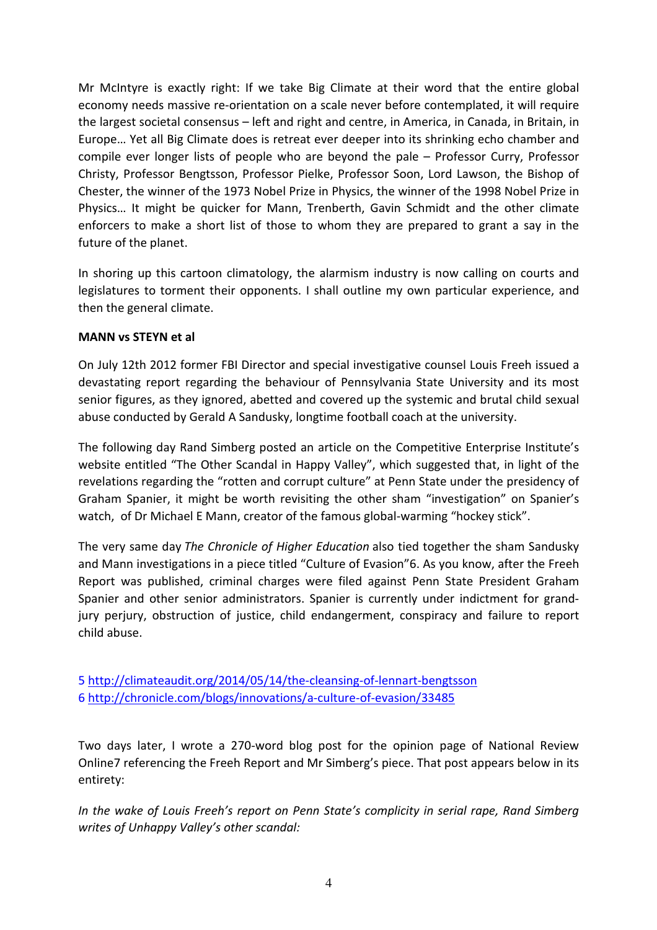Mr McIntyre is exactly right: If we take Big Climate at their word that the entire global economy needs massive re-orientation on a scale never before contemplated, it will require the largest societal consensus – left and right and centre, in America, in Canada, in Britain, in Europe… Yet all Big Climate does is retreat ever deeper into its shrinking echo chamber and compile ever longer lists of people who are beyond the pale – Professor Curry, Professor Christy, Professor Bengtsson, Professor Pielke, Professor Soon, Lord Lawson, the Bishop of Chester, the winner of the 1973 Nobel Prize in Physics, the winner of the 1998 Nobel Prize in Physics… It might be quicker for Mann, Trenberth, Gavin Schmidt and the other climate enforcers to make a short list of those to whom they are prepared to grant a say in the future of the planet.

In shoring up this cartoon climatology, the alarmism industry is now calling on courts and legislatures to torment their opponents. I shall outline my own particular experience, and then the general climate.

### MANN vs STEYN et al

On July 12th 2012 former FBI Director and special investigative counsel Louis Freeh issued a devastating report regarding the behaviour of Pennsylvania State University and its most senior figures, as they ignored, abetted and covered up the systemic and brutal child sexual abuse conducted by Gerald A Sandusky, longtime football coach at the university.

The following day Rand Simberg posted an article on the Competitive Enterprise Institute's website entitled "The Other Scandal in Happy Valley", which suggested that, in light of the revelations regarding the "rotten and corrupt culture" at Penn State under the presidency of Graham Spanier, it might be worth revisiting the other sham "investigation" on Spanier's watch, of Dr Michael E Mann, creator of the famous global-warming "hockey stick".

The very same day The Chronicle of Higher Education also tied together the sham Sandusky and Mann investigations in a piece titled "Culture of Evasion"6. As you know, after the Freeh Report was published, criminal charges were filed against Penn State President Graham Spanier and other senior administrators. Spanier is currently under indictment for grandjury perjury, obstruction of justice, child endangerment, conspiracy and failure to report child abuse.

5 http://climateaudit.org/2014/05/14/the-cleansing-of-lennart-bengtsson 6 http://chronicle.com/blogs/innovations/a-culture-of-evasion/33485

Two days later, I wrote a 270-word blog post for the opinion page of National Review Online7 referencing the Freeh Report and Mr Simberg's piece. That post appears below in its entirety:

In the wake of Louis Freeh's report on Penn State's complicity in serial rape, Rand Simberg writes of Unhappy Valley's other scandal: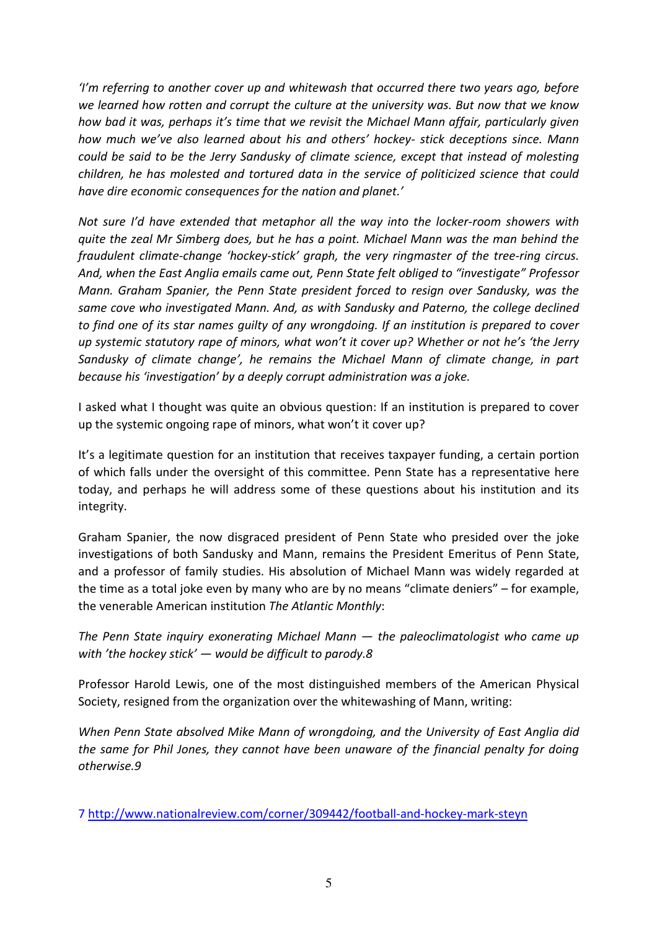'I'm referring to another cover up and whitewash that occurred there two years ago, before we learned how rotten and corrupt the culture at the university was. But now that we know how bad it was, perhaps it's time that we revisit the Michael Mann affair, particularly given how much we've also learned about his and others' hockey- stick deceptions since. Mann could be said to be the Jerry Sandusky of climate science, except that instead of molesting children, he has molested and tortured data in the service of politicized science that could have dire economic consequences for the nation and planet.'

Not sure I'd have extended that metaphor all the way into the locker-room showers with quite the zeal Mr Simberg does, but he has a point. Michael Mann was the man behind the fraudulent climate-change 'hockey-stick' graph, the very ringmaster of the tree-ring circus. And, when the East Anglia emails came out, Penn State felt obliged to "investigate" Professor Mann. Graham Spanier, the Penn State president forced to resign over Sandusky, was the same cove who investigated Mann. And, as with Sandusky and Paterno, the college declined to find one of its star names guilty of any wrongdoing. If an institution is prepared to cover up systemic statutory rape of minors, what won't it cover up? Whether or not he's 'the Jerry Sandusky of climate change', he remains the Michael Mann of climate change, in part because his 'investigation' by a deeply corrupt administration was a joke.

I asked what I thought was quite an obvious question: If an institution is prepared to cover up the systemic ongoing rape of minors, what won't it cover up?

It's a legitimate question for an institution that receives taxpayer funding, a certain portion of which falls under the oversight of this committee. Penn State has a representative here today, and perhaps he will address some of these questions about his institution and its integrity.

Graham Spanier, the now disgraced president of Penn State who presided over the joke investigations of both Sandusky and Mann, remains the President Emeritus of Penn State, and a professor of family studies. His absolution of Michael Mann was widely regarded at the time as a total joke even by many who are by no means "climate deniers" – for example, the venerable American institution The Atlantic Monthly:

The Penn State inquiry exonerating Michael Mann — the paleoclimatologist who came up with 'the hockey stick' — would be difficult to parody.8

Professor Harold Lewis, one of the most distinguished members of the American Physical Society, resigned from the organization over the whitewashing of Mann, writing:

When Penn State absolved Mike Mann of wrongdoing, and the University of East Anglia did the same for Phil Jones, they cannot have been unaware of the financial penalty for doing otherwise.9

7 http://www.nationalreview.com/corner/309442/football-and-hockey-mark-steyn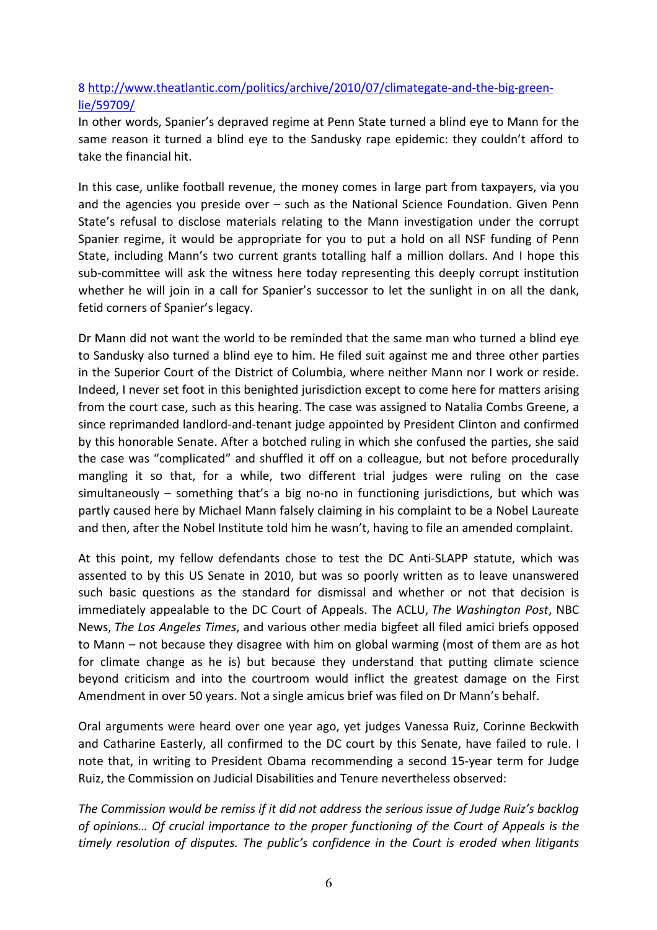### 8 http://www.theatlantic.com/politics/archive/2010/07/climategate-and-the-big-greenlie/59709/

In other words, Spanier's depraved regime at Penn State turned a blind eye to Mann for the same reason it turned a blind eye to the Sandusky rape epidemic: they couldn't afford to take the financial hit.

In this case, unlike football revenue, the money comes in large part from taxpayers, via you and the agencies you preside over – such as the National Science Foundation. Given Penn State's refusal to disclose materials relating to the Mann investigation under the corrupt Spanier regime, it would be appropriate for you to put a hold on all NSF funding of Penn State, including Mann's two current grants totalling half a million dollars. And I hope this sub-committee will ask the witness here today representing this deeply corrupt institution whether he will join in a call for Spanier's successor to let the sunlight in on all the dank, fetid corners of Spanier's legacy.

Dr Mann did not want the world to be reminded that the same man who turned a blind eye to Sandusky also turned a blind eye to him. He filed suit against me and three other parties in the Superior Court of the District of Columbia, where neither Mann nor I work or reside. Indeed, I never set foot in this benighted jurisdiction except to come here for matters arising from the court case, such as this hearing. The case was assigned to Natalia Combs Greene, a since reprimanded landlord-and-tenant judge appointed by President Clinton and confirmed by this honorable Senate. After a botched ruling in which she confused the parties, she said the case was "complicated" and shuffled it off on a colleague, but not before procedurally mangling it so that, for a while, two different trial judges were ruling on the case simultaneously – something that's a big no-no in functioning jurisdictions, but which was partly caused here by Michael Mann falsely claiming in his complaint to be a Nobel Laureate and then, after the Nobel Institute told him he wasn't, having to file an amended complaint.

At this point, my fellow defendants chose to test the DC Anti-SLAPP statute, which was assented to by this US Senate in 2010, but was so poorly written as to leave unanswered such basic questions as the standard for dismissal and whether or not that decision is immediately appealable to the DC Court of Appeals. The ACLU, The Washington Post, NBC News, The Los Angeles Times, and various other media bigfeet all filed amici briefs opposed to Mann – not because they disagree with him on global warming (most of them are as hot for climate change as he is) but because they understand that putting climate science beyond criticism and into the courtroom would inflict the greatest damage on the First Amendment in over 50 years. Not a single amicus brief was filed on Dr Mann's behalf.

Oral arguments were heard over one year ago, yet judges Vanessa Ruiz, Corinne Beckwith and Catharine Easterly, all confirmed to the DC court by this Senate, have failed to rule. I note that, in writing to President Obama recommending a second 15-year term for Judge Ruiz, the Commission on Judicial Disabilities and Tenure nevertheless observed:

The Commission would be remiss if it did not address the serious issue of Judge Ruiz's backlog of opinions… Of crucial importance to the proper functioning of the Court of Appeals is the timely resolution of disputes. The public's confidence in the Court is eroded when litigants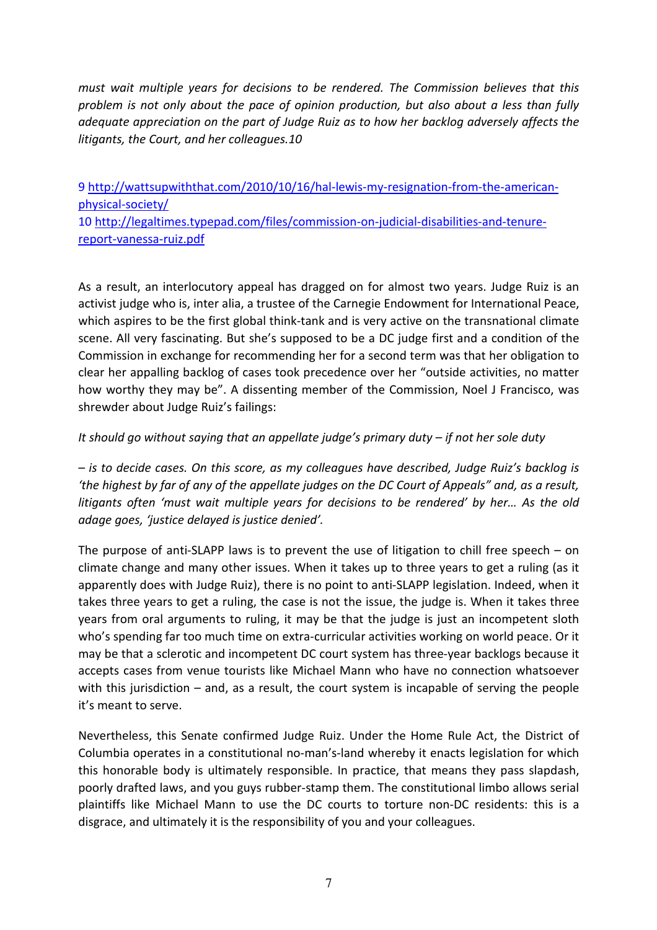must wait multiple years for decisions to be rendered. The Commission believes that this problem is not only about the pace of opinion production, but also about a less than fully adequate appreciation on the part of Judge Ruiz as to how her backlog adversely affects the litigants, the Court, and her colleagues.10

9 http://wattsupwiththat.com/2010/10/16/hal-lewis-my-resignation-from-the-americanphysical-society/ 10 http://legaltimes.typepad.com/files/commission-on-judicial-disabilities-and-tenurereport-vanessa-ruiz.pdf

As a result, an interlocutory appeal has dragged on for almost two years. Judge Ruiz is an activist judge who is, inter alia, a trustee of the Carnegie Endowment for International Peace, which aspires to be the first global think-tank and is very active on the transnational climate scene. All very fascinating. But she's supposed to be a DC judge first and a condition of the Commission in exchange for recommending her for a second term was that her obligation to clear her appalling backlog of cases took precedence over her "outside activities, no matter how worthy they may be". A dissenting member of the Commission, Noel J Francisco, was shrewder about Judge Ruiz's failings:

### It should go without saying that an appellate judge's primary duty – if not her sole duty

– is to decide cases. On this score, as my colleagues have described, Judge Ruiz's backlog is 'the highest by far of any of the appellate judges on the DC Court of Appeals" and, as a result, litigants often 'must wait multiple years for decisions to be rendered' by her… As the old adage goes, 'justice delayed is justice denied'.

The purpose of anti-SLAPP laws is to prevent the use of litigation to chill free speech – on climate change and many other issues. When it takes up to three years to get a ruling (as it apparently does with Judge Ruiz), there is no point to anti-SLAPP legislation. Indeed, when it takes three years to get a ruling, the case is not the issue, the judge is. When it takes three years from oral arguments to ruling, it may be that the judge is just an incompetent sloth who's spending far too much time on extra-curricular activities working on world peace. Or it may be that a sclerotic and incompetent DC court system has three-year backlogs because it accepts cases from venue tourists like Michael Mann who have no connection whatsoever with this jurisdiction – and, as a result, the court system is incapable of serving the people it's meant to serve.

Nevertheless, this Senate confirmed Judge Ruiz. Under the Home Rule Act, the District of Columbia operates in a constitutional no-man's-land whereby it enacts legislation for which this honorable body is ultimately responsible. In practice, that means they pass slapdash, poorly drafted laws, and you guys rubber-stamp them. The constitutional limbo allows serial plaintiffs like Michael Mann to use the DC courts to torture non-DC residents: this is a disgrace, and ultimately it is the responsibility of you and your colleagues.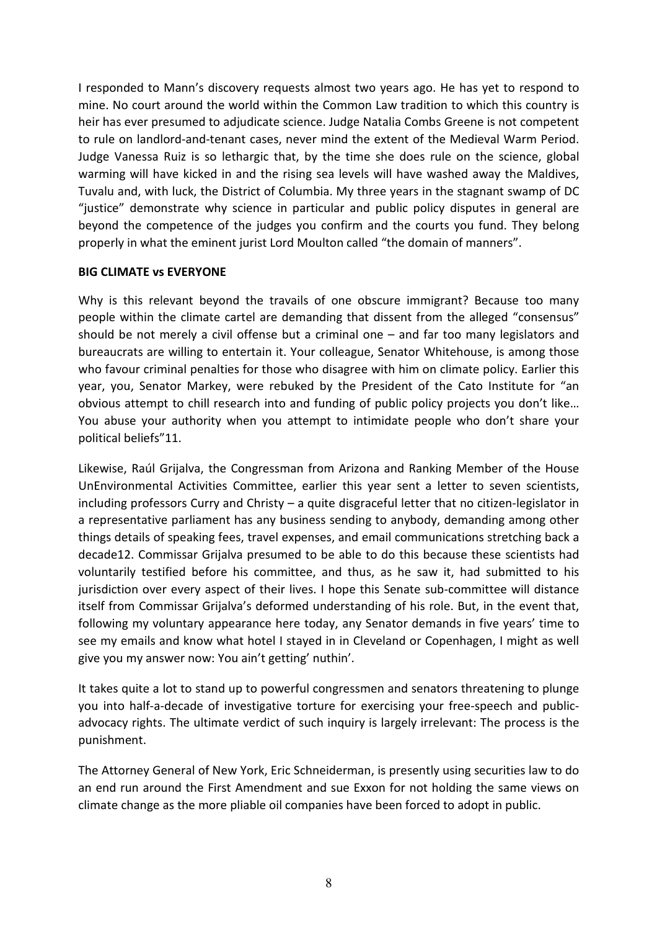I responded to Mann's discovery requests almost two years ago. He has yet to respond to mine. No court around the world within the Common Law tradition to which this country is heir has ever presumed to adjudicate science. Judge Natalia Combs Greene is not competent to rule on landlord-and-tenant cases, never mind the extent of the Medieval Warm Period. Judge Vanessa Ruiz is so lethargic that, by the time she does rule on the science, global warming will have kicked in and the rising sea levels will have washed away the Maldives, Tuvalu and, with luck, the District of Columbia. My three years in the stagnant swamp of DC "justice" demonstrate why science in particular and public policy disputes in general are beyond the competence of the judges you confirm and the courts you fund. They belong properly in what the eminent jurist Lord Moulton called "the domain of manners".

### BIG CLIMATE vs EVERYONE

Why is this relevant beyond the travails of one obscure immigrant? Because too many people within the climate cartel are demanding that dissent from the alleged "consensus" should be not merely a civil offense but a criminal one – and far too many legislators and bureaucrats are willing to entertain it. Your colleague, Senator Whitehouse, is among those who favour criminal penalties for those who disagree with him on climate policy. Earlier this year, you, Senator Markey, were rebuked by the President of the Cato Institute for "an obvious attempt to chill research into and funding of public policy projects you don't like… You abuse your authority when you attempt to intimidate people who don't share your political beliefs"11.

Likewise, Raúl Grijalva, the Congressman from Arizona and Ranking Member of the House UnEnvironmental Activities Committee, earlier this year sent a letter to seven scientists, including professors Curry and Christy – a quite disgraceful letter that no citizen-legislator in a representative parliament has any business sending to anybody, demanding among other things details of speaking fees, travel expenses, and email communications stretching back a decade12. Commissar Grijalva presumed to be able to do this because these scientists had voluntarily testified before his committee, and thus, as he saw it, had submitted to his jurisdiction over every aspect of their lives. I hope this Senate sub-committee will distance itself from Commissar Grijalva's deformed understanding of his role. But, in the event that, following my voluntary appearance here today, any Senator demands in five years' time to see my emails and know what hotel I stayed in in Cleveland or Copenhagen, I might as well give you my answer now: You ain't getting' nuthin'.

It takes quite a lot to stand up to powerful congressmen and senators threatening to plunge you into half-a-decade of investigative torture for exercising your free-speech and publicadvocacy rights. The ultimate verdict of such inquiry is largely irrelevant: The process is the punishment.

The Attorney General of New York, Eric Schneiderman, is presently using securities law to do an end run around the First Amendment and sue Exxon for not holding the same views on climate change as the more pliable oil companies have been forced to adopt in public.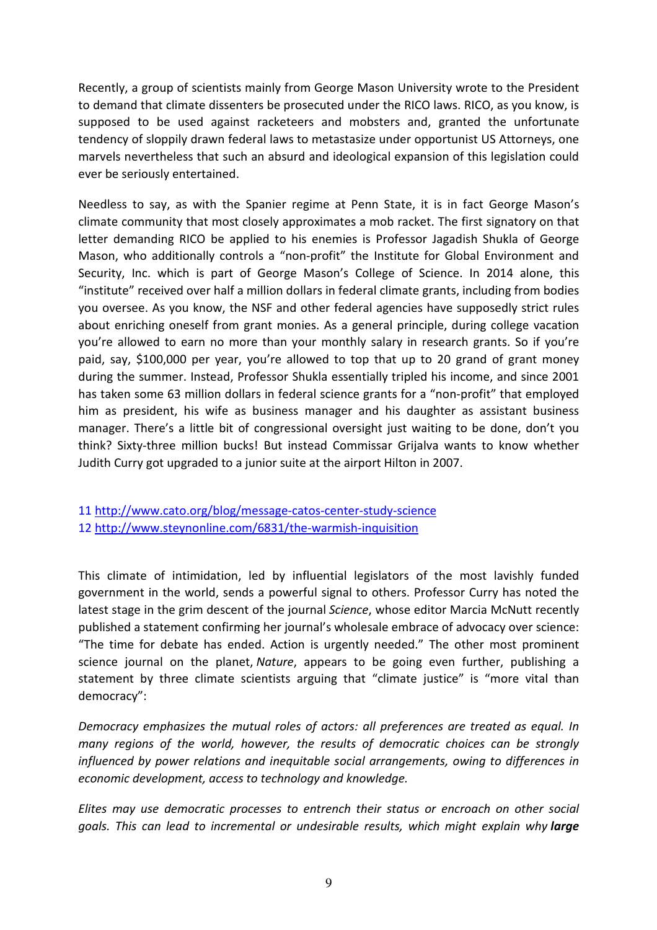Recently, a group of scientists mainly from George Mason University wrote to the President to demand that climate dissenters be prosecuted under the RICO laws. RICO, as you know, is supposed to be used against racketeers and mobsters and, granted the unfortunate tendency of sloppily drawn federal laws to metastasize under opportunist US Attorneys, one marvels nevertheless that such an absurd and ideological expansion of this legislation could ever be seriously entertained.

Needless to say, as with the Spanier regime at Penn State, it is in fact George Mason's climate community that most closely approximates a mob racket. The first signatory on that letter demanding RICO be applied to his enemies is Professor Jagadish Shukla of George Mason, who additionally controls a "non-profit" the Institute for Global Environment and Security, Inc. which is part of George Mason's College of Science. In 2014 alone, this "institute" received over half a million dollars in federal climate grants, including from bodies you oversee. As you know, the NSF and other federal agencies have supposedly strict rules about enriching oneself from grant monies. As a general principle, during college vacation you're allowed to earn no more than your monthly salary in research grants. So if you're paid, say, \$100,000 per year, you're allowed to top that up to 20 grand of grant money during the summer. Instead, Professor Shukla essentially tripled his income, and since 2001 has taken some 63 million dollars in federal science grants for a "non-profit" that employed him as president, his wife as business manager and his daughter as assistant business manager. There's a little bit of congressional oversight just waiting to be done, don't you think? Sixty-three million bucks! But instead Commissar Grijalva wants to know whether Judith Curry got upgraded to a junior suite at the airport Hilton in 2007.

11 http://www.cato.org/blog/message-catos-center-study-science 12 http://www.steynonline.com/6831/the-warmish-inquisition

This climate of intimidation, led by influential legislators of the most lavishly funded government in the world, sends a powerful signal to others. Professor Curry has noted the latest stage in the grim descent of the journal Science, whose editor Marcia McNutt recently published a statement confirming her journal's wholesale embrace of advocacy over science: "The time for debate has ended. Action is urgently needed." The other most prominent science journal on the planet, Nature, appears to be going even further, publishing a statement by three climate scientists arguing that "climate justice" is "more vital than democracy":

Democracy emphasizes the mutual roles of actors: all preferences are treated as equal. In many regions of the world, however, the results of democratic choices can be strongly influenced by power relations and inequitable social arrangements, owing to differences in economic development, access to technology and knowledge.

Elites may use democratic processes to entrench their status or encroach on other social goals. This can lead to incremental or undesirable results, which might explain why large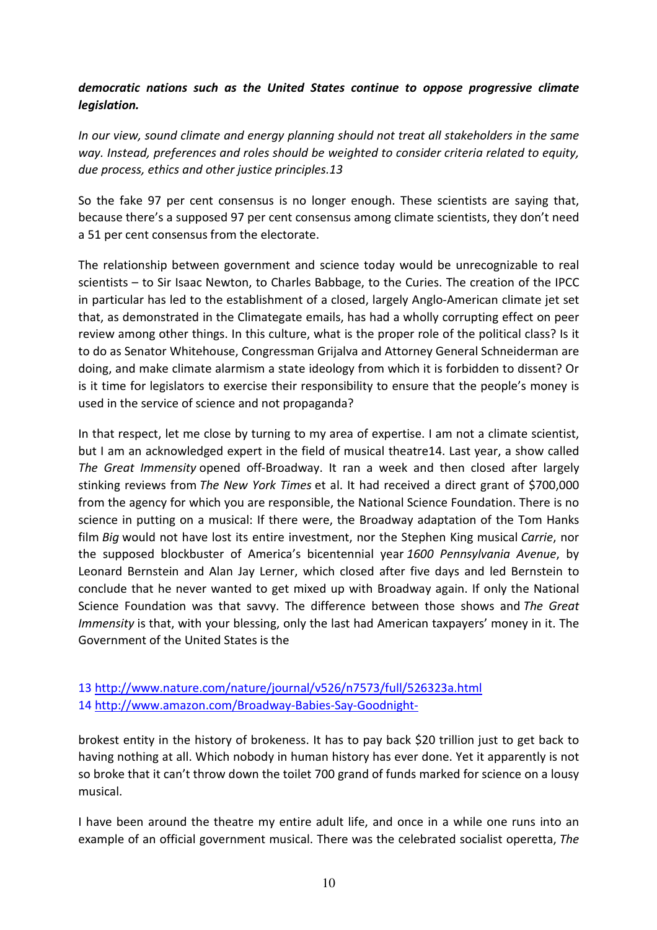### democratic nations such as the United States continue to oppose progressive climate legislation.

In our view, sound climate and energy planning should not treat all stakeholders in the same way. Instead, preferences and roles should be weighted to consider criteria related to equity, due process, ethics and other justice principles.13

So the fake 97 per cent consensus is no longer enough. These scientists are saying that, because there's a supposed 97 per cent consensus among climate scientists, they don't need a 51 per cent consensus from the electorate.

The relationship between government and science today would be unrecognizable to real scientists – to Sir Isaac Newton, to Charles Babbage, to the Curies. The creation of the IPCC in particular has led to the establishment of a closed, largely Anglo-American climate jet set that, as demonstrated in the Climategate emails, has had a wholly corrupting effect on peer review among other things. In this culture, what is the proper role of the political class? Is it to do as Senator Whitehouse, Congressman Grijalva and Attorney General Schneiderman are doing, and make climate alarmism a state ideology from which it is forbidden to dissent? Or is it time for legislators to exercise their responsibility to ensure that the people's money is used in the service of science and not propaganda?

In that respect, let me close by turning to my area of expertise. I am not a climate scientist, but I am an acknowledged expert in the field of musical theatre14. Last year, a show called The Great Immensity opened off-Broadway. It ran a week and then closed after largely stinking reviews from The New York Times et al. It had received a direct grant of \$700,000 from the agency for which you are responsible, the National Science Foundation. There is no science in putting on a musical: If there were, the Broadway adaptation of the Tom Hanks film Big would not have lost its entire investment, nor the Stephen King musical Carrie, nor the supposed blockbuster of America's bicentennial year 1600 Pennsylvania Avenue, by Leonard Bernstein and Alan Jay Lerner, which closed after five days and led Bernstein to conclude that he never wanted to get mixed up with Broadway again. If only the National Science Foundation was that savvy. The difference between those shows and The Great Immensity is that, with your blessing, only the last had American taxpayers' money in it. The Government of the United States is the

### 13 http://www.nature.com/nature/journal/v526/n7573/full/526323a.html 14 http://www.amazon.com/Broadway-Babies-Say-Goodnight-

brokest entity in the history of brokeness. It has to pay back \$20 trillion just to get back to having nothing at all. Which nobody in human history has ever done. Yet it apparently is not so broke that it can't throw down the toilet 700 grand of funds marked for science on a lousy musical.

I have been around the theatre my entire adult life, and once in a while one runs into an example of an official government musical. There was the celebrated socialist operetta, The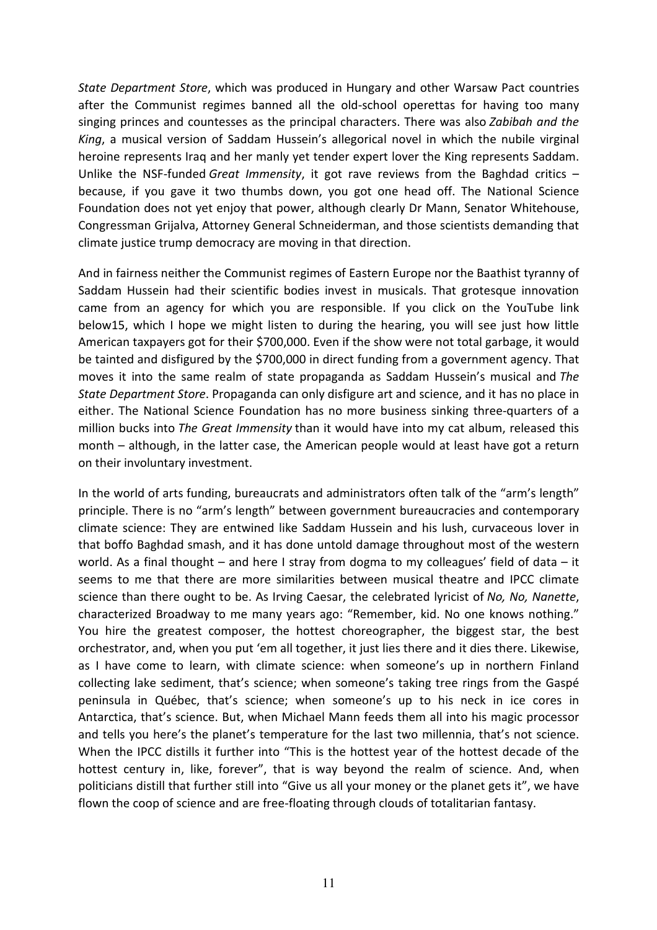State Department Store, which was produced in Hungary and other Warsaw Pact countries after the Communist regimes banned all the old-school operettas for having too many singing princes and countesses as the principal characters. There was also Zabibah and the King, a musical version of Saddam Hussein's allegorical novel in which the nubile virginal heroine represents Iraq and her manly yet tender expert lover the King represents Saddam. Unlike the NSF-funded Great Immensity, it got rave reviews from the Baghdad critics  $$ because, if you gave it two thumbs down, you got one head off. The National Science Foundation does not yet enjoy that power, although clearly Dr Mann, Senator Whitehouse, Congressman Grijalva, Attorney General Schneiderman, and those scientists demanding that climate justice trump democracy are moving in that direction.

And in fairness neither the Communist regimes of Eastern Europe nor the Baathist tyranny of Saddam Hussein had their scientific bodies invest in musicals. That grotesque innovation came from an agency for which you are responsible. If you click on the YouTube link below15, which I hope we might listen to during the hearing, you will see just how little American taxpayers got for their \$700,000. Even if the show were not total garbage, it would be tainted and disfigured by the \$700,000 in direct funding from a government agency. That moves it into the same realm of state propaganda as Saddam Hussein's musical and The State Department Store. Propaganda can only disfigure art and science, and it has no place in either. The National Science Foundation has no more business sinking three-quarters of a million bucks into The Great Immensity than it would have into my cat album, released this month – although, in the latter case, the American people would at least have got a return on their involuntary investment.

In the world of arts funding, bureaucrats and administrators often talk of the "arm's length" principle. There is no "arm's length" between government bureaucracies and contemporary climate science: They are entwined like Saddam Hussein and his lush, curvaceous lover in that boffo Baghdad smash, and it has done untold damage throughout most of the western world. As a final thought – and here I stray from dogma to my colleagues' field of data – it seems to me that there are more similarities between musical theatre and IPCC climate science than there ought to be. As Irving Caesar, the celebrated lyricist of No, No, Nanette, characterized Broadway to me many years ago: "Remember, kid. No one knows nothing." You hire the greatest composer, the hottest choreographer, the biggest star, the best orchestrator, and, when you put 'em all together, it just lies there and it dies there. Likewise, as I have come to learn, with climate science: when someone's up in northern Finland collecting lake sediment, that's science; when someone's taking tree rings from the Gaspé peninsula in Québec, that's science; when someone's up to his neck in ice cores in Antarctica, that's science. But, when Michael Mann feeds them all into his magic processor and tells you here's the planet's temperature for the last two millennia, that's not science. When the IPCC distills it further into "This is the hottest year of the hottest decade of the hottest century in, like, forever", that is way beyond the realm of science. And, when politicians distill that further still into "Give us all your money or the planet gets it", we have flown the coop of science and are free-floating through clouds of totalitarian fantasy.